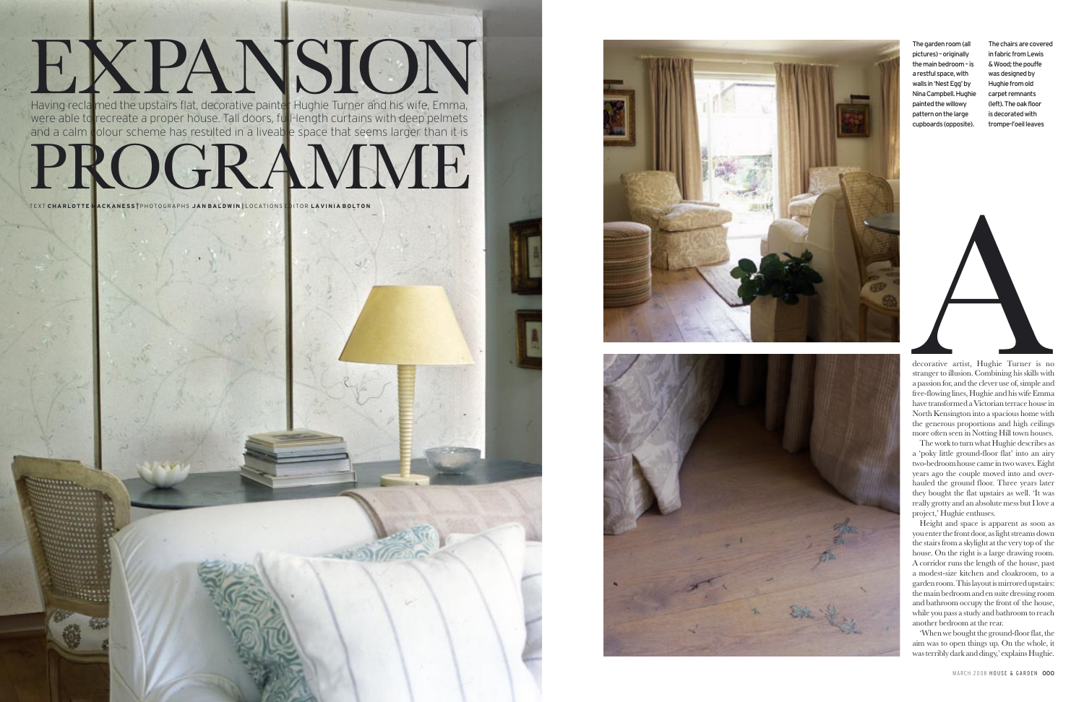The garden room (all pictures) – originally the main bedroom – is a restful space, with walls in 'Nest Egg' by Nina Campbell. Hughie painted the willowy pattern on the large cupboards (opposite).

The chairs are covered in fabric from Lewis & Wood; the pouffe was designed by Hughie from old carpet remnants (left). The oak floor is decorated with trompe-l'oeil leaves

decorative artist, Hughie Turner is no<br>stranger to illusion. Combining his skills with<br>a passion for, and the clever use of, simple and<br>free-flowing lines, Hughie and his wife Emma

decorative artist, Hughie Turner is no stranger to illusion. Combining his skills with a passion for, and the clever use of, simple and free-flowing lines, Hughie and his wife Emma have transformed a Victorian terrace house in North Kensington into a spacious home with the generous proportions and high ceilings more often seen in Notting Hill town houses.

The work to turn what Hughie describes as a 'poky little ground-floor flat' into an airy two-bedroom house came in two waves. Eight years ago the couple moved into and over hauled the ground floor. Three years later they bought the flat upstairs as well. 'It was really grotty and an absolute mess but I love a project,' Hughie enthuses.

Height and space is apparent as soon as you enter the front door, as light streams down the stairs from a skylight at the very top of the house. On the right is a large drawing room. A corridor runs the length of the house, past a modest-size kitchen and cloakroom, to a garden room. This layout is mirrored upstairs: the main bedroom and en suite dressing room and bathroom occupy the front of the house, while you pass a study and bathroom to reach another bedroom at the rear.

'When we bought the ground-floor flat, the aim was to open things up. On the whole, it was terribly dark and dingy,' explains Hughie.